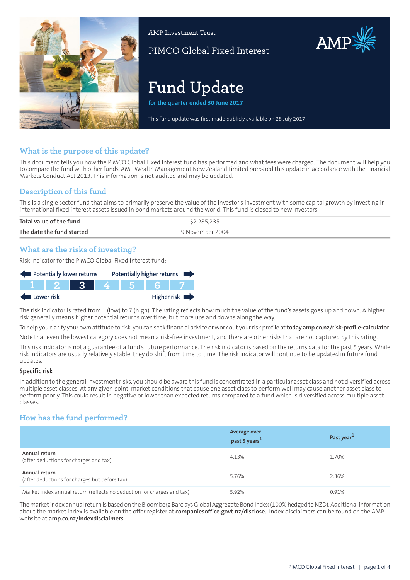

AMP Investment Trust

PIMCO Global Fixed Interest

# AMP

# **Fund Update**

**for the quarter ended 30 June 2017**

This fund update was first made publicly available on 28 July 2017

# **What is the purpose of this update?**

This document tells you how the PIMCO Global Fixed Interest fund has performed and what fees were charged. The document will help you to compare the fund with other funds. AMP Wealth Management New Zealand Limited prepared this update in accordance with the Financial Markets Conduct Act 2013. This information is not audited and may be updated.

# **Description of this fund**

This is a single sector fund that aims to primarily preserve the value of the investor's investment with some capital growth by investing in international fixed interest assets issued in bond markets around the world. This fund is closed to new investors.

| Total value of the fund   | \$2,285,235     |
|---------------------------|-----------------|
| The date the fund started | 9 November 2004 |
|                           |                 |

### **What are the risks of investing?**

Risk indicator for the PIMCO Global Fixed Interest fund:

| Potentially lower returns |        |       | Potentially higher returns |       |  |             |
|---------------------------|--------|-------|----------------------------|-------|--|-------------|
|                           | TT 2 1 | - 3 - |                            | 4 5 6 |  |             |
| Lower risk                |        |       |                            |       |  | Higher risk |

The risk indicator is rated from 1 (low) to 7 (high). The rating reflects how much the value of the fund's assets goes up and down. A higher risk generally means higher potential returns over time, but more ups and downs along the way.

To help you clarify your own attitude to risk, you can seek financial advice orwork out yourrisk profile at**[today.amp.co.nz/risk-profile-calculator](http://today.amp.co.nz/risk-profile-calculator)**.

Note that even the lowest category does not mean a risk-free investment, and there are other risks that are not captured by this rating.

This risk indicator is not a guarantee of a fund's future performance. The risk indicator is based on the returns data for the past 5 years. While risk indicators are usually relatively stable, they do shift from time to time. The risk indicator will continue to be updated in future fund updates.

#### **Specific risk**

In addition to the general investmentrisks, you should be aware this fund is concentrated in a particular asset class and not diversified across multiple asset classes. At any given point, market conditions that cause one asset class to perform well may cause another asset class to perform poorly. This could result in negative or lower than expected returns compared to a fund which is diversified across multiple asset classes.

# **How has the fund performed?**

|                                                                        | <b>Average over</b><br>past 5 years <sup>1</sup> | Past year <sup>1</sup> |
|------------------------------------------------------------------------|--------------------------------------------------|------------------------|
| Annual return<br>(after deductions for charges and tax)                | 4.13%                                            | 1.70%                  |
| Annual return<br>(after deductions for charges but before tax)         | 5.76%                                            | 2.36%                  |
| Market index annual return (reflects no deduction for charges and tax) | 5.92%                                            | 0.91%                  |

The market index annual return is based on the Bloomberg Barclays Global Aggregate Bond Index (100% hedged to NZD). Additional information about the market index is available on the offer register at **[companiesoffice.govt.nz/disclose.](http://companiesoffice.govt.nz/disclose)** Index disclaimers can be found on the AMP website at **[amp.co.nz/indexdisclaimers](http://amp.co.nz/indexdisclaimers)**.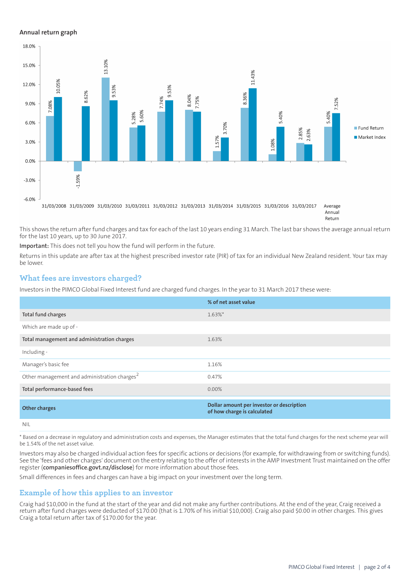#### **Annual return graph**



Return

This shows the return after fund charges and tax for each of the last 10 years ending 31 March. The last bar shows the average annual return for the last 10 years, up to 30 June 2017.

**Important:** This does not tell you how the fund will perform in the future.

Returns in this update are after tax at the highest prescribed investor rate (PIR) of tax for an individual New Zealand resident. Your tax may be lower.

#### **What fees are investors charged?**

Investors in the PIMCO Global Fixed Interest fund are charged fund charges. In the year to 31 March 2017 these were:

|                                                          | % of net asset value                                                     |
|----------------------------------------------------------|--------------------------------------------------------------------------|
| Total fund charges                                       | $1.63\%$ *                                                               |
| Which are made up of -                                   |                                                                          |
| Total management and administration charges              | 1.63%                                                                    |
| Including -                                              |                                                                          |
| Manager's basic fee                                      | 1.16%                                                                    |
| Other management and administration charges <sup>2</sup> | 0.47%                                                                    |
| Total performance-based fees                             | $0.00\%$                                                                 |
| <b>Other charges</b>                                     | Dollar amount per investor or description<br>of how charge is calculated |
| <b>NIL</b>                                               |                                                                          |

\* Based on a decrease in regulatory and administration costs and expenses, the Manager estimates that the total fund charges for the next scheme year will be 1.54% of the net asset value.

Investors may also be charged individual action fees for specific actions or decisions (for example, for withdrawing from or switching funds). See the 'fees and other charges' document on the entry relating to the offer of interests in the AMP Investment Trust maintained on the offer register (**[companiesoffice.govt.nz/disclose](http://companiesoffice.govt.nz/disclose)**) for more information about those fees.

Small differences in fees and charges can have a big impact on your investment over the long term.

#### **Example of how this applies to an investor**

Craig had \$10,000 in the fund at the start of the year and did not make any further contributions. At the end of the year, Craig received a return after fund charges were deducted of \$170.00 (that is 1.70% of his initial \$10,000). Craig also paid \$0.00 in other charges. This gives Craig a total return after tax of \$170.00 for the year.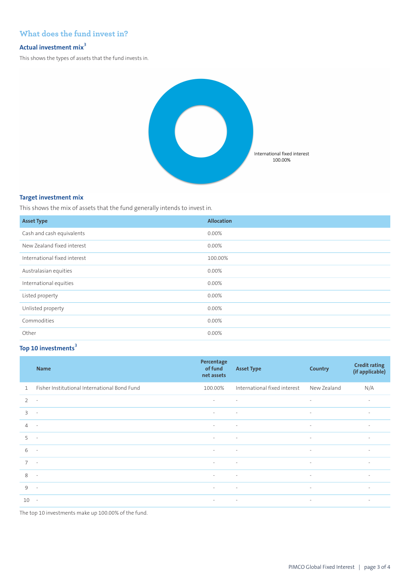# **What does the fund invest in?**

#### **Actual investment mix<sup>3</sup>**

This shows the types of assets that the fund invests in.



#### **Target investment mix**

This shows the mix of assets that the fund generally intends to invest in.

| <b>Asset Type</b>            | <b>Allocation</b> |
|------------------------------|-------------------|
| Cash and cash equivalents    | 0.00%             |
| New Zealand fixed interest   | $0.00\%$          |
| International fixed interest | 100.00%           |
| Australasian equities        | 0.00%             |
| International equities       | 0.00%             |
| Listed property              | $0.00\%$          |
| Unlisted property            | 0.00%             |
| Commodities                  | 0.00%             |
| Other                        | $0.00\%$          |

# **Top 10 investments<sup>3</sup>**

|                | <b>Name</b>                                  | Percentage<br>of fund<br>net assets | <b>Asset Type</b>            | <b>Country</b>           | <b>Credit rating</b><br>(if applicable) |
|----------------|----------------------------------------------|-------------------------------------|------------------------------|--------------------------|-----------------------------------------|
| $\mathbf{1}$   | Fisher Institutional International Bond Fund | 100.00%                             | International fixed interest | New Zealand              | N/A                                     |
| $\overline{2}$ | $\overline{\phantom{a}}$                     | $\sim$                              | $\sim$                       | $\sim$                   | $\sim$                                  |
| 3              | $\overline{\phantom{a}}$                     | $\sim$                              | $\sim$                       | $\overline{\phantom{a}}$ | $\overline{\phantom{a}}$                |
| $\overline{4}$ | $\sim$                                       | $\sim$                              | $\sim$                       | $\overline{\phantom{a}}$ | $\overline{\phantom{a}}$                |
| 5              | $\overline{\phantom{a}}$                     | $\sim$                              | $\sim$                       | $\overline{\phantom{a}}$ | $\sim$                                  |
| 6              | $\overline{\phantom{a}}$                     | $\sim$                              | $\sim$                       | $\sim$                   | $\sim$                                  |
| $\overline{7}$ | $\sim$                                       | $\sim$                              | $\sim$                       | $\overline{\phantom{a}}$ | $\sim$                                  |
| 8              | $\sim$                                       | $\sim$                              | $\sim$                       | $\sim$                   | $\sim$                                  |
| 9              | $\sim$                                       | $\sim$                              | $\sim$                       | $\sim$                   | $\sim$                                  |
| 10             | $\sim$                                       | $\sim$                              | $\sim 100$ km s $^{-1}$      | $\sim$                   | $\sim$                                  |

The top 10 investments make up 100.00% of the fund.